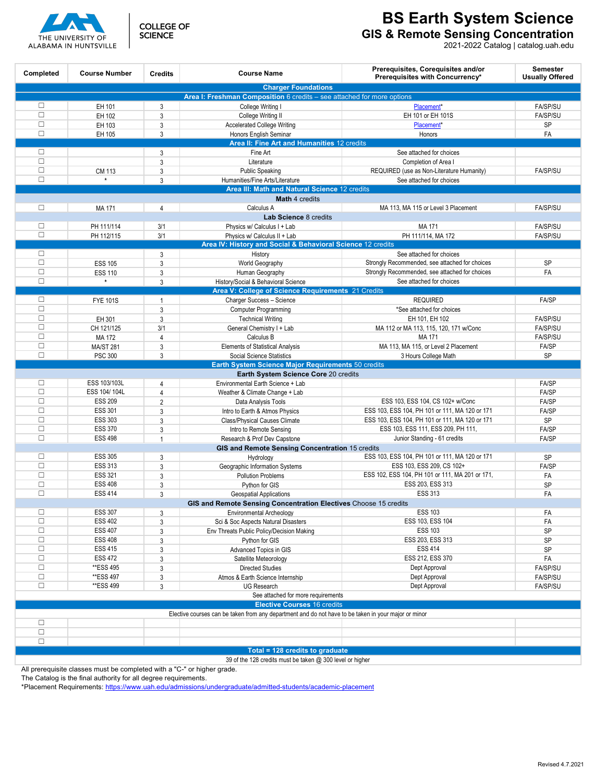



**BS Earth System Science**

**GIS & Remote Sensing Concentration**

2021-2022 Catalog | catalog.uah.edu

| Completed                                                                                            | <b>Course Number</b> | <b>Credits</b> | <b>Course Name</b>                                                     | Prerequisites, Corequisites and/or<br>Prerequisites with Concurrency* | <b>Semester</b><br><b>Usually Offered</b> |
|------------------------------------------------------------------------------------------------------|----------------------|----------------|------------------------------------------------------------------------|-----------------------------------------------------------------------|-------------------------------------------|
| <b>Charger Foundations</b>                                                                           |                      |                |                                                                        |                                                                       |                                           |
|                                                                                                      |                      |                | Area I: Freshman Composition 6 credits - see attached for more options |                                                                       |                                           |
| $\Box$<br>$\Box$                                                                                     | EH 101               | 3              | College Writing I                                                      | Placement*                                                            | <b>FA/SP/SU</b>                           |
| $\Box$                                                                                               | EH 102               | 3              | College Writing II                                                     | EH 101 or EH 101S                                                     | <b>FA/SP/SU</b>                           |
| $\Box$                                                                                               | EH 103               | 3              | <b>Accelerated College Writing</b>                                     | Placement*                                                            | <b>SP</b>                                 |
|                                                                                                      | EH 105               | 3              | Honors English Seminar                                                 | Honors                                                                | FA                                        |
| $\Box$                                                                                               |                      |                | Area II: Fine Art and Humanities 12 credits<br>Fine Art                |                                                                       |                                           |
| $\Box$                                                                                               |                      | 3<br>3         | Literature                                                             | See attached for choices<br>Completion of Area I                      |                                           |
| $\Box$                                                                                               | <b>CM 113</b>        | 3              | <b>Public Speaking</b>                                                 | REQUIRED (use as Non-Literature Humanity)                             | <b>FA/SP/SU</b>                           |
| $\Box$                                                                                               | $\star$              | $\mathbf{3}$   | Humanities/Fine Arts/Literature                                        | See attached for choices                                              |                                           |
|                                                                                                      |                      |                | Area III: Math and Natural Science 12 credits                          |                                                                       |                                           |
| Math 4 credits                                                                                       |                      |                |                                                                        |                                                                       |                                           |
| П                                                                                                    | MA 171               | $\overline{4}$ | Calculus A                                                             | MA 113, MA 115 or Level 3 Placement                                   | <b>FA/SP/SU</b>                           |
|                                                                                                      |                      |                | Lab Science 8 credits                                                  |                                                                       |                                           |
| $\Box$                                                                                               | PH 111/114           | 3/1            | Physics w/ Calculus I + Lab                                            | MA 171                                                                | FA/SP/SU                                  |
| $\Box$                                                                                               | PH 112/115           | 3/1            | Physics w/ Calculus II + Lab                                           | PH 111/114, MA 172                                                    | <b>FA/SP/SU</b>                           |
|                                                                                                      |                      |                | Area IV: History and Social & Behavioral Science 12 credits            |                                                                       |                                           |
| $\Box$                                                                                               |                      | 3              | History                                                                | See attached for choices                                              |                                           |
| $\Box$                                                                                               | <b>ESS 105</b>       | $\mathbf{3}$   | World Geography                                                        | Strongly Recommended, see attached for choices                        | <b>SP</b>                                 |
| $\Box$                                                                                               | <b>ESS 110</b>       | 3              | Human Geography                                                        | Strongly Recommended, see attached for choices                        | FA                                        |
| $\Box$                                                                                               | $\star$              | 3              | History/Social & Behavioral Science                                    | See attached for choices                                              |                                           |
|                                                                                                      |                      |                | Area V: College of Science Requirements 21 Credits                     |                                                                       |                                           |
| $\Box$                                                                                               | <b>FYE 101S</b>      | 1              | Charger Success - Science                                              | <b>REQUIRED</b>                                                       | <b>FA/SP</b>                              |
| $\Box$                                                                                               |                      | 3              | <b>Computer Programming</b>                                            | *See attached for choices                                             |                                           |
| $\Box$                                                                                               | EH 301               | 3              | <b>Technical Writing</b>                                               | EH 101, EH 102                                                        | <b>FA/SP/SU</b>                           |
| $\Box$                                                                                               | CH 121/125           | 3/1            | General Chemistry I + Lab                                              | MA 112 or MA 113, 115, 120, 171 w/Conc                                | <b>FA/SP/SU</b>                           |
| $\Box$                                                                                               | MA 172               | $\overline{4}$ | Calculus B                                                             | MA 171                                                                | FA/SP/SU                                  |
| $\Box$                                                                                               | <b>MA/ST 281</b>     | 3              | <b>Elements of Statistical Analysis</b>                                | MA 113, MA 115, or Level 2 Placement                                  | FA/SP                                     |
| $\Box$                                                                                               | <b>PSC 300</b>       | 3              | Social Science Statistics                                              | 3 Hours College Math                                                  | <b>SP</b>                                 |
|                                                                                                      |                      |                | Earth System Science Major Requirements 50 credits                     |                                                                       |                                           |
| Earth System Science Core 20 credits                                                                 |                      |                |                                                                        |                                                                       |                                           |
| $\Box$                                                                                               | ESS 103/103L         | $\overline{4}$ | Environmental Earth Science + Lab                                      |                                                                       | FA/SP                                     |
| $\Box$                                                                                               | ESS 104/104L         | 4              | Weather & Climate Change + Lab                                         |                                                                       | <b>FA/SP</b>                              |
| $\Box$                                                                                               | <b>ESS 209</b>       | $\overline{2}$ | Data Analysis Tools                                                    | ESS 103, ESS 104, CS 102+ w/Conc                                      | FA/SP                                     |
| $\Box$                                                                                               | <b>ESS 301</b>       | 3              | Intro to Earth & Atmos Physics                                         | ESS 103, ESS 104, PH 101 or 111, MA 120 or 171                        | <b>FA/SP</b>                              |
| $\Box$                                                                                               | <b>ESS 303</b>       | 3              | Class/Physical Causes Climate                                          | ESS 103, ESS 104, PH 101 or 111, MA 120 or 171                        | <b>SP</b>                                 |
| $\Box$                                                                                               | <b>ESS 370</b>       | 3              | Intro to Remote Sensing                                                | ESS 103, ESS 111, ESS 209, PH 111,                                    | <b>FA/SP</b>                              |
| $\Box$                                                                                               | <b>ESS 498</b>       | $\mathbf{1}$   | Research & Prof Dev Capstone                                           | Junior Standing - 61 credits                                          | FA/SP                                     |
| GIS and Remote Sensing Concentration 15 credits                                                      |                      |                |                                                                        |                                                                       |                                           |
| $\Box$                                                                                               | <b>ESS 305</b>       | 3              | Hydrology                                                              | ESS 103, ESS 104, PH 101 or 111, MA 120 or 171                        | <b>SP</b>                                 |
| $\Box$                                                                                               | <b>ESS 313</b>       | 3              | Geographic Information Systems                                         | ESS 103, ESS 209, CS 102+                                             | FA/SP                                     |
| $\Box$                                                                                               | <b>ESS 321</b>       | 3              | <b>Pollution Problems</b>                                              | ESS 102, ESS 104, PH 101 or 111, MA 201 or 171,                       | FA                                        |
| $\Box$                                                                                               | <b>ESS 408</b>       | 3              | Python for GIS                                                         | ESS 203, ESS 313                                                      | SP                                        |
| $\Box$                                                                                               | <b>ESS 414</b>       | 3              | <b>Geospatial Applications</b>                                         | <b>ESS 313</b>                                                        | FA                                        |
| GIS and Remote Sensing Concentration Electives Choose 15 credits                                     |                      |                |                                                                        |                                                                       |                                           |
| $\Box$                                                                                               | <b>ESS 307</b>       | $\mathbf{3}$   | Environmental Archeology                                               | <b>ESS 103</b>                                                        | FA                                        |
| $\Box$                                                                                               | <b>ESS 402</b>       | 3              | Sci & Soc Aspects Natural Disasters                                    | ESS 103, ESS 104                                                      | FA                                        |
| $\Box$                                                                                               | <b>ESS 407</b>       | 3              | Env Threats Public Policy/Decision Making                              | <b>ESS 103</b>                                                        | <b>SP</b>                                 |
| $\Box$                                                                                               | <b>ESS 408</b>       | 3              | Python for GIS                                                         | ESS 203, ESS 313                                                      | <b>SP</b>                                 |
| $\Box$                                                                                               | <b>ESS 415</b>       | 3              | Advanced Topics in GIS                                                 | <b>ESS 414</b>                                                        | SP                                        |
| $\Box$                                                                                               | <b>ESS 472</b>       | 3              | Satellite Meteorology                                                  | ESS 212, ESS 370                                                      | FA                                        |
| $\Box$                                                                                               | **ESS 495            | 3              | <b>Directed Studies</b>                                                | Dept Approval                                                         | FA/SP/SU                                  |
| $\Box$                                                                                               | **ESS 497            | 3              | Atmos & Earth Science Internship                                       | Dept Approval                                                         | FA/SP/SU                                  |
| $\Box$                                                                                               | **ESS 499            | 3              | <b>UG Research</b>                                                     | Dept Approval                                                         | FA/SP/SU                                  |
|                                                                                                      |                      |                | See attached for more requirements                                     |                                                                       |                                           |
|                                                                                                      |                      |                | <b>Elective Courses 16 credits</b>                                     |                                                                       |                                           |
| Elective courses can be taken from any department and do not have to be taken in your major or minor |                      |                |                                                                        |                                                                       |                                           |
| $\Box$                                                                                               |                      |                |                                                                        |                                                                       |                                           |
| $\Box$                                                                                               |                      |                |                                                                        |                                                                       |                                           |
| $\Box$                                                                                               |                      |                |                                                                        |                                                                       |                                           |
|                                                                                                      |                      |                | Total = 128 credits to graduate                                        |                                                                       |                                           |
|                                                                                                      |                      |                | 39 of the 128 credits must be taken @ 300 level or higher              |                                                                       |                                           |

All prerequisite classes must be completed with a "C-" or higher grade.

The Catalog is the final authority for all degree requirements.

\*Placement Requirements:<https://www.uah.edu/admissions/undergraduate/admitted-students/academic-placement>